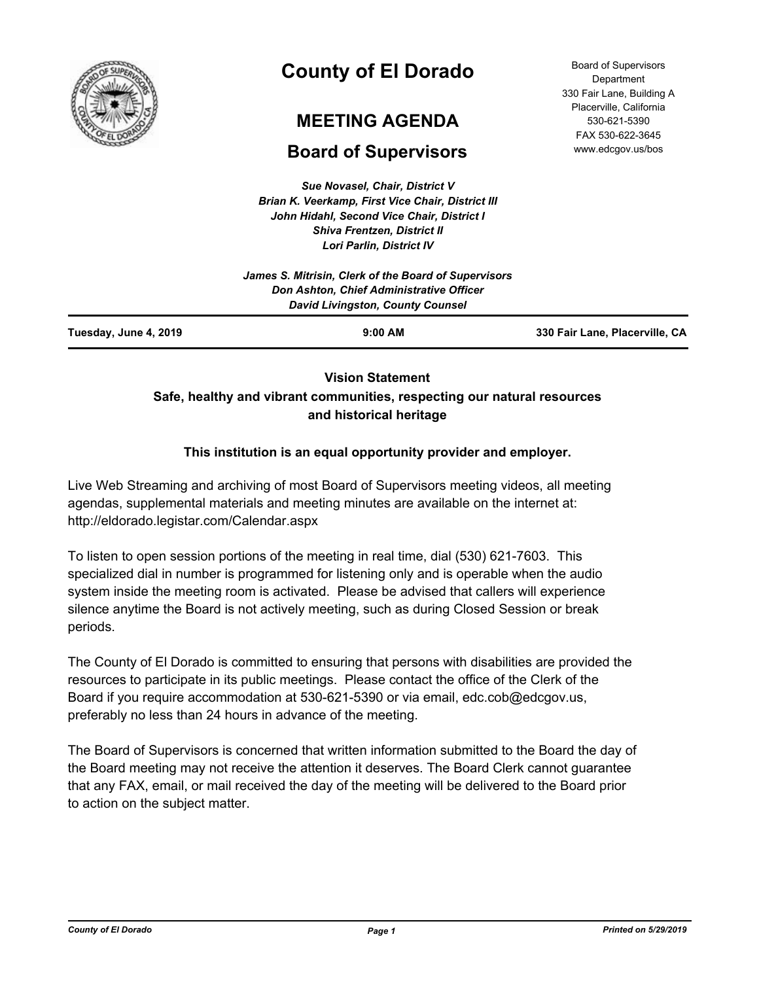

# **County of El Dorado**

# **MEETING AGENDA**

## **Board of Supervisors**

*Sue Novasel, Chair, District V Brian K. Veerkamp, First Vice Chair, District III John Hidahl, Second Vice Chair, District I Shiva Frentzen, District II Lori Parlin, District IV*

| <b>Board of Supervisors</b> |
|-----------------------------|
| Department                  |
| 330 Fair Lane, Building A   |
| Placerville, California     |
| 530-621-5390                |
| FAX 530-622-3645            |
| www.edcgov.us/bos           |

| Tuesday, June 4, 2019 | $9:00$ AM                                                                                  | 330 Fair Lane, Placerville, CA |
|-----------------------|--------------------------------------------------------------------------------------------|--------------------------------|
|                       | <b>Don Ashton, Chief Administrative Officer</b><br><b>David Livingston, County Counsel</b> |                                |
|                       | James S. Mitrisin, Clerk of the Board of Supervisors                                       |                                |
|                       |                                                                                            |                                |

### **Vision Statement Safe, healthy and vibrant communities, respecting our natural resources and historical heritage**

#### **This institution is an equal opportunity provider and employer.**

Live Web Streaming and archiving of most Board of Supervisors meeting videos, all meeting agendas, supplemental materials and meeting minutes are available on the internet at: http://eldorado.legistar.com/Calendar.aspx

To listen to open session portions of the meeting in real time, dial (530) 621-7603. This specialized dial in number is programmed for listening only and is operable when the audio system inside the meeting room is activated. Please be advised that callers will experience silence anytime the Board is not actively meeting, such as during Closed Session or break periods.

The County of El Dorado is committed to ensuring that persons with disabilities are provided the resources to participate in its public meetings. Please contact the office of the Clerk of the Board if you require accommodation at 530-621-5390 or via email, edc.cob@edcgov.us, preferably no less than 24 hours in advance of the meeting.

The Board of Supervisors is concerned that written information submitted to the Board the day of the Board meeting may not receive the attention it deserves. The Board Clerk cannot guarantee that any FAX, email, or mail received the day of the meeting will be delivered to the Board prior to action on the subject matter.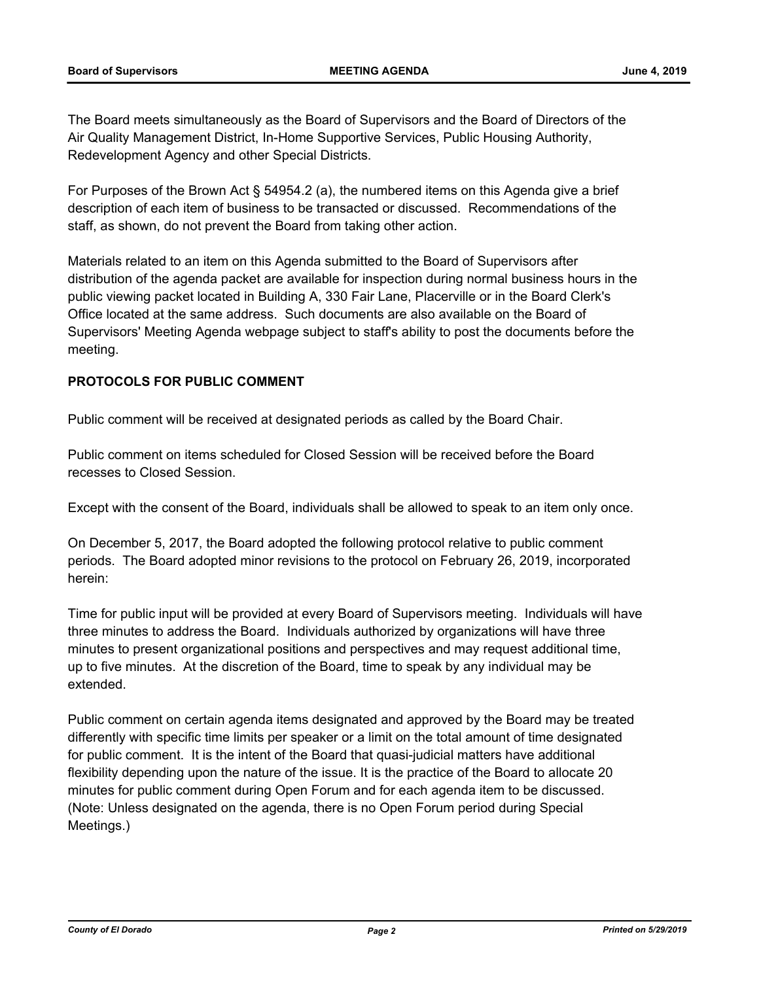The Board meets simultaneously as the Board of Supervisors and the Board of Directors of the Air Quality Management District, In-Home Supportive Services, Public Housing Authority, Redevelopment Agency and other Special Districts.

For Purposes of the Brown Act § 54954.2 (a), the numbered items on this Agenda give a brief description of each item of business to be transacted or discussed. Recommendations of the staff, as shown, do not prevent the Board from taking other action.

Materials related to an item on this Agenda submitted to the Board of Supervisors after distribution of the agenda packet are available for inspection during normal business hours in the public viewing packet located in Building A, 330 Fair Lane, Placerville or in the Board Clerk's Office located at the same address. Such documents are also available on the Board of Supervisors' Meeting Agenda webpage subject to staff's ability to post the documents before the meeting.

#### **PROTOCOLS FOR PUBLIC COMMENT**

Public comment will be received at designated periods as called by the Board Chair.

Public comment on items scheduled for Closed Session will be received before the Board recesses to Closed Session.

Except with the consent of the Board, individuals shall be allowed to speak to an item only once.

On December 5, 2017, the Board adopted the following protocol relative to public comment periods. The Board adopted minor revisions to the protocol on February 26, 2019, incorporated herein:

Time for public input will be provided at every Board of Supervisors meeting. Individuals will have three minutes to address the Board. Individuals authorized by organizations will have three minutes to present organizational positions and perspectives and may request additional time, up to five minutes. At the discretion of the Board, time to speak by any individual may be extended.

Public comment on certain agenda items designated and approved by the Board may be treated differently with specific time limits per speaker or a limit on the total amount of time designated for public comment. It is the intent of the Board that quasi-judicial matters have additional flexibility depending upon the nature of the issue. It is the practice of the Board to allocate 20 minutes for public comment during Open Forum and for each agenda item to be discussed. (Note: Unless designated on the agenda, there is no Open Forum period during Special Meetings.)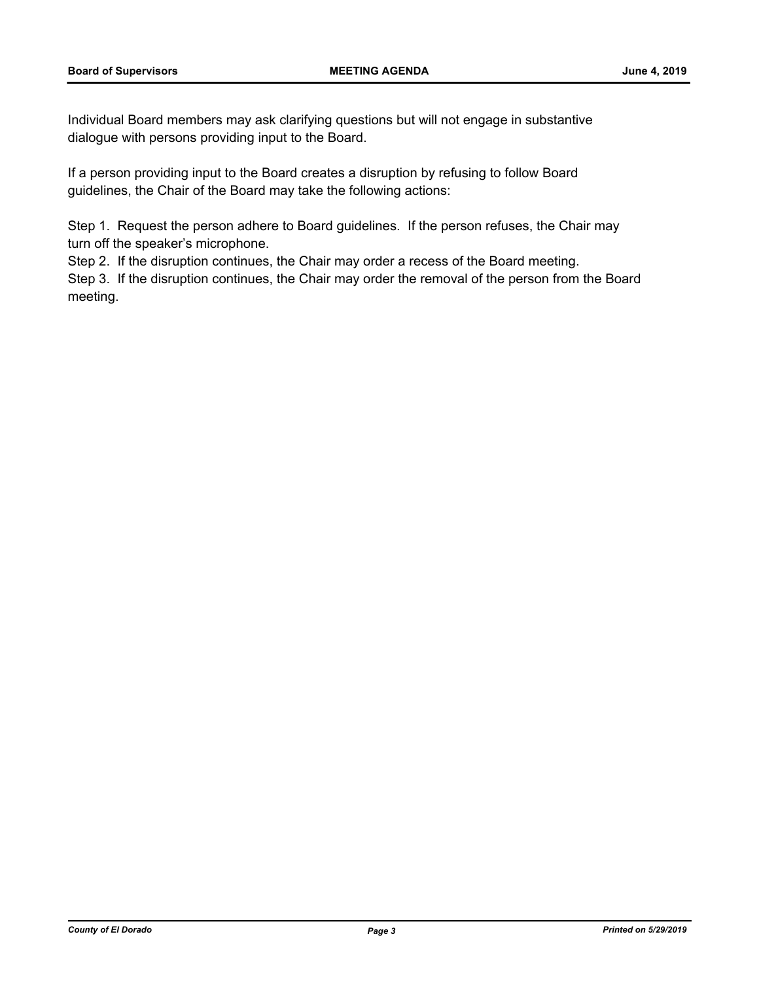Individual Board members may ask clarifying questions but will not engage in substantive dialogue with persons providing input to the Board.

If a person providing input to the Board creates a disruption by refusing to follow Board guidelines, the Chair of the Board may take the following actions:

Step 1. Request the person adhere to Board guidelines. If the person refuses, the Chair may turn off the speaker's microphone.

Step 2. If the disruption continues, the Chair may order a recess of the Board meeting.

Step 3. If the disruption continues, the Chair may order the removal of the person from the Board meeting.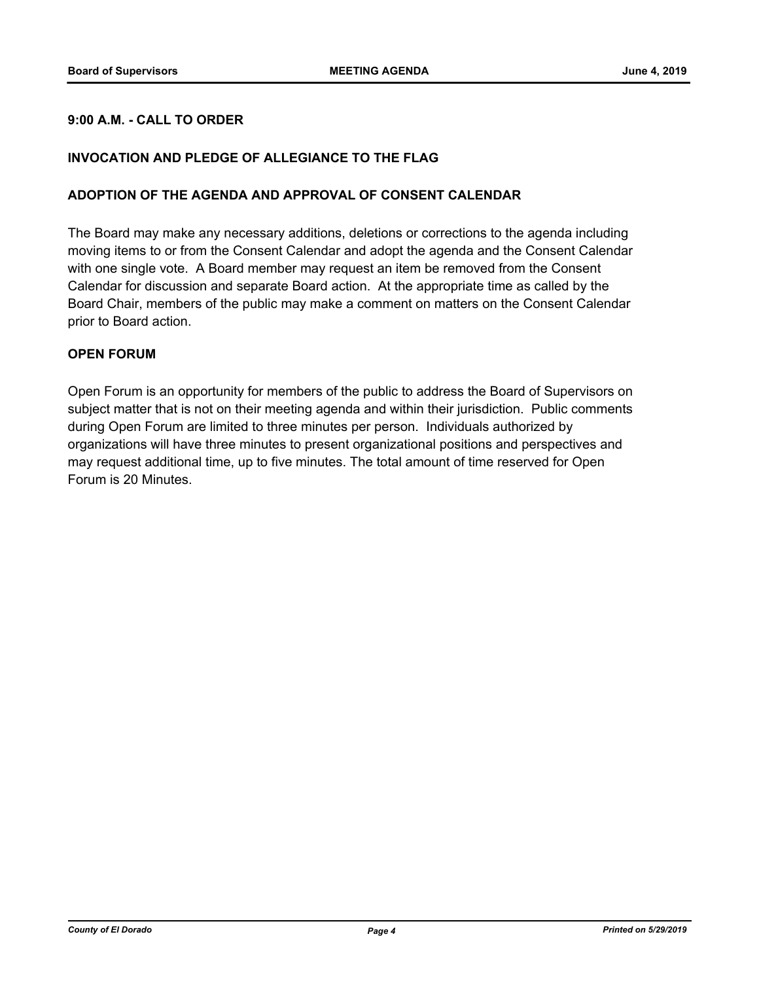#### **9:00 A.M. - CALL TO ORDER**

#### **INVOCATION AND PLEDGE OF ALLEGIANCE TO THE FLAG**

#### **ADOPTION OF THE AGENDA AND APPROVAL OF CONSENT CALENDAR**

The Board may make any necessary additions, deletions or corrections to the agenda including moving items to or from the Consent Calendar and adopt the agenda and the Consent Calendar with one single vote. A Board member may request an item be removed from the Consent Calendar for discussion and separate Board action. At the appropriate time as called by the Board Chair, members of the public may make a comment on matters on the Consent Calendar prior to Board action.

#### **OPEN FORUM**

Open Forum is an opportunity for members of the public to address the Board of Supervisors on subject matter that is not on their meeting agenda and within their jurisdiction. Public comments during Open Forum are limited to three minutes per person. Individuals authorized by organizations will have three minutes to present organizational positions and perspectives and may request additional time, up to five minutes. The total amount of time reserved for Open Forum is 20 Minutes.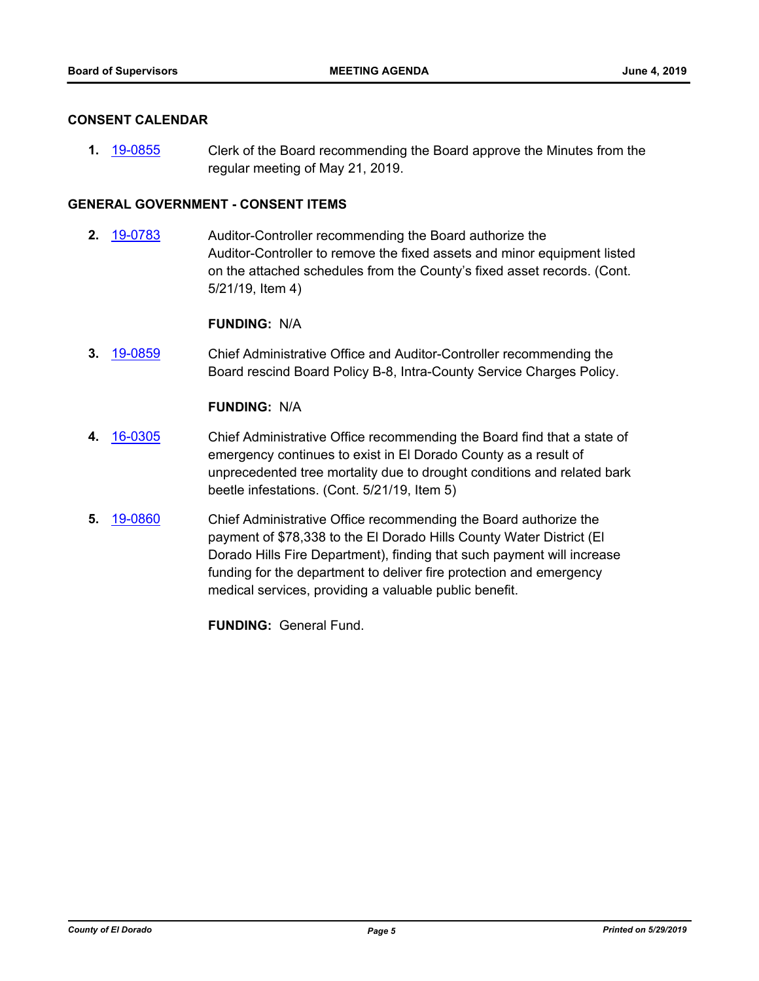#### **CONSENT CALENDAR**

**1.** [19-0855](http://eldorado.legistar.com/gateway.aspx?m=l&id=/matter.aspx?key=26178) Clerk of the Board recommending the Board approve the Minutes from the regular meeting of May 21, 2019.

#### **GENERAL GOVERNMENT - CONSENT ITEMS**

**2.** [19-0783](http://eldorado.legistar.com/gateway.aspx?m=l&id=/matter.aspx?key=26105) Auditor-Controller recommending the Board authorize the Auditor-Controller to remove the fixed assets and minor equipment listed on the attached schedules from the County's fixed asset records. (Cont. 5/21/19, Item 4)

**FUNDING:** N/A

**3.** [19-0859](http://eldorado.legistar.com/gateway.aspx?m=l&id=/matter.aspx?key=26182) Chief Administrative Office and Auditor-Controller recommending the Board rescind Board Policy B-8, Intra-County Service Charges Policy.

#### **FUNDING:** N/A

- **4.** [16-0305](http://eldorado.legistar.com/gateway.aspx?m=l&id=/matter.aspx?key=20961) Chief Administrative Office recommending the Board find that a state of emergency continues to exist in El Dorado County as a result of unprecedented tree mortality due to drought conditions and related bark beetle infestations. (Cont. 5/21/19, Item 5)
- **5.** [19-0860](http://eldorado.legistar.com/gateway.aspx?m=l&id=/matter.aspx?key=26183) Chief Administrative Office recommending the Board authorize the payment of \$78,338 to the El Dorado Hills County Water District (El Dorado Hills Fire Department), finding that such payment will increase funding for the department to deliver fire protection and emergency medical services, providing a valuable public benefit.

**FUNDING:** General Fund.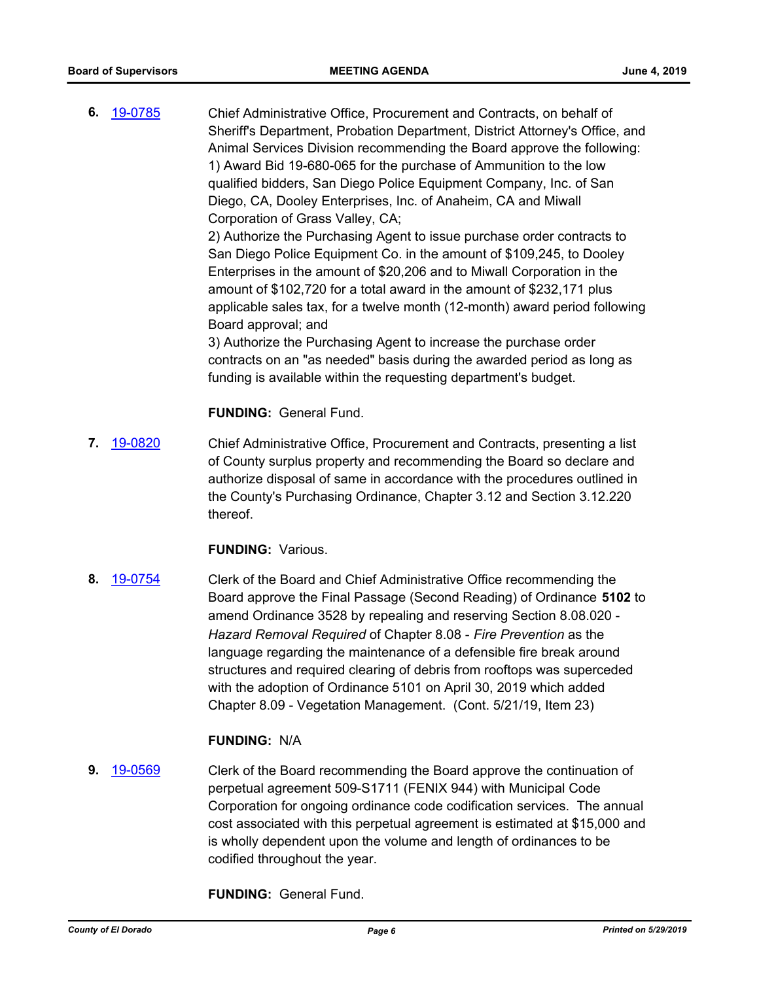**6.** [19-0785](http://eldorado.legistar.com/gateway.aspx?m=l&id=/matter.aspx?key=26107) Chief Administrative Office, Procurement and Contracts, on behalf of Sheriff's Department, Probation Department, District Attorney's Office, and Animal Services Division recommending the Board approve the following: 1) Award Bid 19-680-065 for the purchase of Ammunition to the low qualified bidders, San Diego Police Equipment Company, Inc. of San Diego, CA, Dooley Enterprises, Inc. of Anaheim, CA and Miwall Corporation of Grass Valley, CA; 2) Authorize the Purchasing Agent to issue purchase order contracts to

San Diego Police Equipment Co. in the amount of \$109,245, to Dooley Enterprises in the amount of \$20,206 and to Miwall Corporation in the amount of \$102,720 for a total award in the amount of \$232,171 plus applicable sales tax, for a twelve month (12-month) award period following Board approval; and

3) Authorize the Purchasing Agent to increase the purchase order contracts on an "as needed" basis during the awarded period as long as funding is available within the requesting department's budget.

**FUNDING:** General Fund.

**7.** [19-0820](http://eldorado.legistar.com/gateway.aspx?m=l&id=/matter.aspx?key=26143) Chief Administrative Office, Procurement and Contracts, presenting a list of County surplus property and recommending the Board so declare and authorize disposal of same in accordance with the procedures outlined in the County's Purchasing Ordinance, Chapter 3.12 and Section 3.12.220 thereof.

**FUNDING:** Various.

**8.** [19-0754](http://eldorado.legistar.com/gateway.aspx?m=l&id=/matter.aspx?key=26076) Clerk of the Board and Chief Administrative Office recommending the Board approve the Final Passage (Second Reading) of Ordinance **5102** to amend Ordinance 3528 by repealing and reserving Section 8.08.020 - *Hazard Removal Required* of Chapter 8.08 - *Fire Prevention* as the language regarding the maintenance of a defensible fire break around structures and required clearing of debris from rooftops was superceded with the adoption of Ordinance 5101 on April 30, 2019 which added Chapter 8.09 - Vegetation Management. (Cont. 5/21/19, Item 23)

#### **FUNDING:** N/A

**9.** [19-0569](http://eldorado.legistar.com/gateway.aspx?m=l&id=/matter.aspx?key=25890) Clerk of the Board recommending the Board approve the continuation of perpetual agreement 509-S1711 (FENIX 944) with Municipal Code Corporation for ongoing ordinance code codification services. The annual cost associated with this perpetual agreement is estimated at \$15,000 and is wholly dependent upon the volume and length of ordinances to be codified throughout the year.

**FUNDING:** General Fund.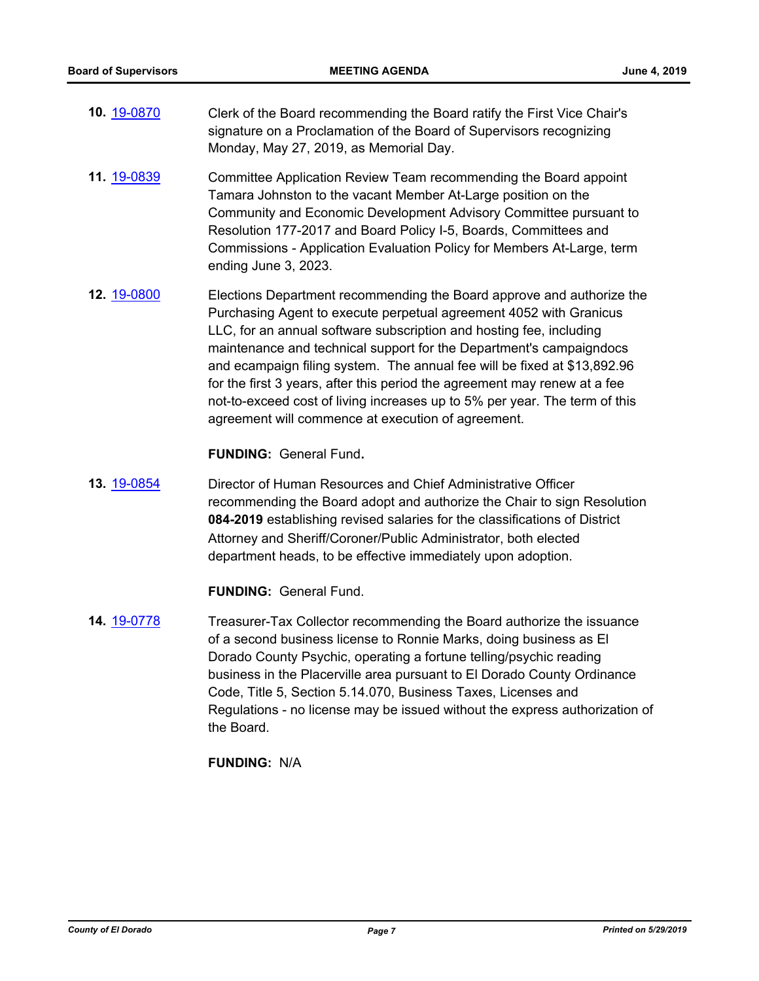- **10.** [19-0870](http://eldorado.legistar.com/gateway.aspx?m=l&id=/matter.aspx?key=26193) Clerk of the Board recommending the Board ratify the First Vice Chair's signature on a Proclamation of the Board of Supervisors recognizing Monday, May 27, 2019, as Memorial Day.
- **11.** [19-0839](http://eldorado.legistar.com/gateway.aspx?m=l&id=/matter.aspx?key=26162) Committee Application Review Team recommending the Board appoint Tamara Johnston to the vacant Member At-Large position on the Community and Economic Development Advisory Committee pursuant to Resolution 177-2017 and Board Policy I-5, Boards, Committees and Commissions - Application Evaluation Policy for Members At-Large, term ending June 3, 2023.
- **12.** [19-0800](http://eldorado.legistar.com/gateway.aspx?m=l&id=/matter.aspx?key=26123) Elections Department recommending the Board approve and authorize the Purchasing Agent to execute perpetual agreement 4052 with Granicus LLC, for an annual software subscription and hosting fee, including maintenance and technical support for the Department's campaigndocs and ecampaign filing system. The annual fee will be fixed at \$13,892.96 for the first 3 years, after this period the agreement may renew at a fee not-to-exceed cost of living increases up to 5% per year. The term of this agreement will commence at execution of agreement.

**FUNDING:** General Fund**.**

**13.** [19-0854](http://eldorado.legistar.com/gateway.aspx?m=l&id=/matter.aspx?key=26177) Director of Human Resources and Chief Administrative Officer recommending the Board adopt and authorize the Chair to sign Resolution **084-2019** establishing revised salaries for the classifications of District Attorney and Sheriff/Coroner/Public Administrator, both elected department heads, to be effective immediately upon adoption.

**FUNDING:** General Fund.

**14.** [19-0778](http://eldorado.legistar.com/gateway.aspx?m=l&id=/matter.aspx?key=26100) Treasurer-Tax Collector recommending the Board authorize the issuance of a second business license to Ronnie Marks, doing business as El Dorado County Psychic, operating a fortune telling/psychic reading business in the Placerville area pursuant to El Dorado County Ordinance Code, Title 5, Section 5.14.070, Business Taxes, Licenses and Regulations - no license may be issued without the express authorization of the Board.

**FUNDING:** N/A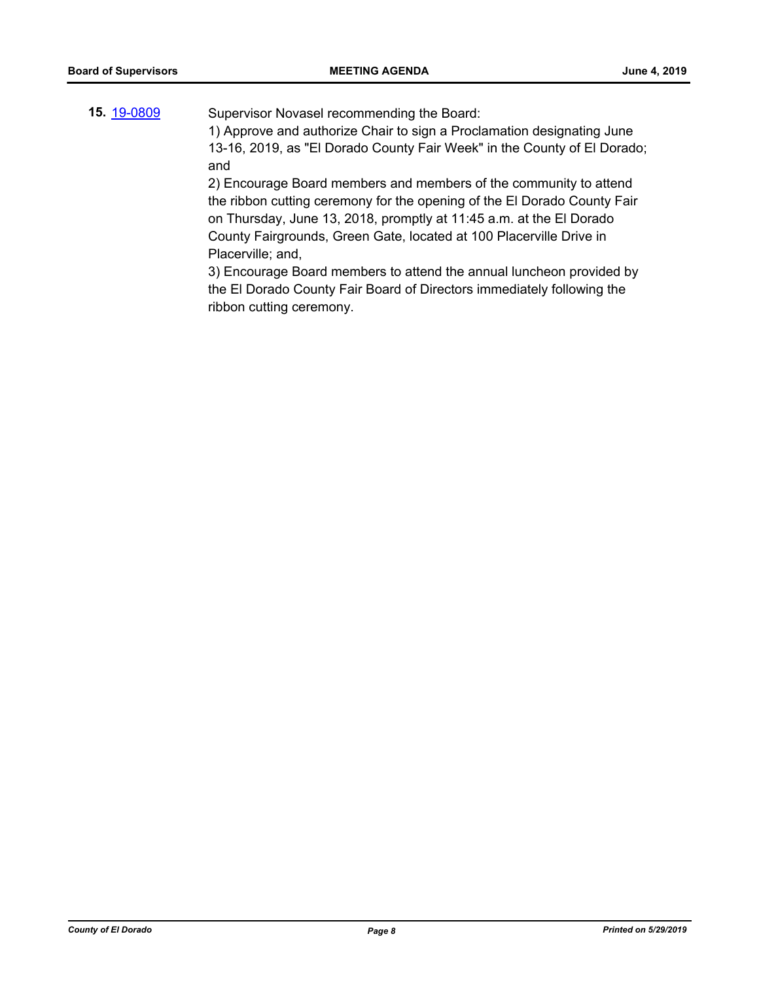**15.** [19-0809](http://eldorado.legistar.com/gateway.aspx?m=l&id=/matter.aspx?key=26132) Supervisor Novasel recommending the Board:

1) Approve and authorize Chair to sign a Proclamation designating June 13-16, 2019, as "El Dorado County Fair Week" in the County of El Dorado; and

2) Encourage Board members and members of the community to attend the ribbon cutting ceremony for the opening of the El Dorado County Fair on Thursday, June 13, 2018, promptly at 11:45 a.m. at the El Dorado County Fairgrounds, Green Gate, located at 100 Placerville Drive in Placerville; and,

3) Encourage Board members to attend the annual luncheon provided by the El Dorado County Fair Board of Directors immediately following the ribbon cutting ceremony.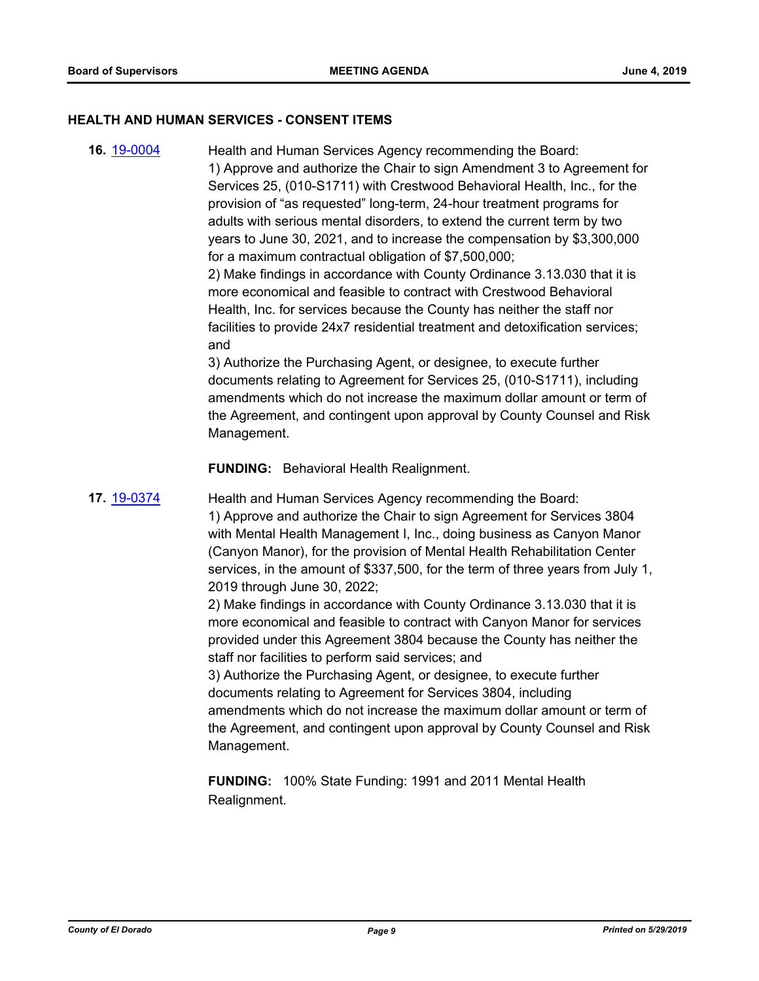#### **HEALTH AND HUMAN SERVICES - CONSENT ITEMS**

**16.** [19-0004](http://eldorado.legistar.com/gateway.aspx?m=l&id=/matter.aspx?key=25325) Health and Human Services Agency recommending the Board: 1) Approve and authorize the Chair to sign Amendment 3 to Agreement for Services 25, (010-S1711) with Crestwood Behavioral Health, Inc., for the provision of "as requested" long-term, 24-hour treatment programs for adults with serious mental disorders, to extend the current term by two years to June 30, 2021, and to increase the compensation by \$3,300,000 for a maximum contractual obligation of \$7,500,000;

2) Make findings in accordance with County Ordinance 3.13.030 that it is more economical and feasible to contract with Crestwood Behavioral Health, Inc. for services because the County has neither the staff nor facilities to provide 24x7 residential treatment and detoxification services; and

3) Authorize the Purchasing Agent, or designee, to execute further documents relating to Agreement for Services 25, (010-S1711), including amendments which do not increase the maximum dollar amount or term of the Agreement, and contingent upon approval by County Counsel and Risk Management.

**FUNDING:** Behavioral Health Realignment.

**17.** [19-0374](http://eldorado.legistar.com/gateway.aspx?m=l&id=/matter.aspx?key=25695) Health and Human Services Agency recommending the Board: 1) Approve and authorize the Chair to sign Agreement for Services 3804 with Mental Health Management I, Inc., doing business as Canyon Manor (Canyon Manor), for the provision of Mental Health Rehabilitation Center services, in the amount of \$337,500, for the term of three years from July 1, 2019 through June 30, 2022;

> 2) Make findings in accordance with County Ordinance 3.13.030 that it is more economical and feasible to contract with Canyon Manor for services provided under this Agreement 3804 because the County has neither the staff nor facilities to perform said services; and

3) Authorize the Purchasing Agent, or designee, to execute further documents relating to Agreement for Services 3804, including amendments which do not increase the maximum dollar amount or term of the Agreement, and contingent upon approval by County Counsel and Risk Management.

**FUNDING:** 100% State Funding: 1991 and 2011 Mental Health Realignment.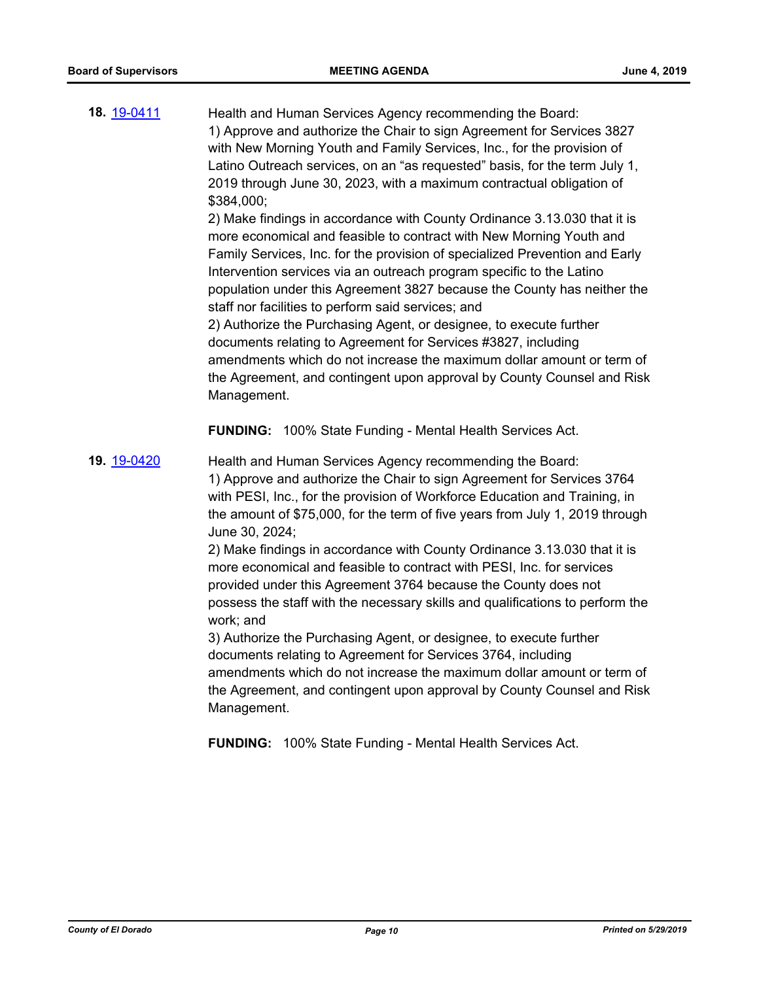| 18. 19-0411 | Health and Human Services Agency recommending the Board:<br>1) Approve and authorize the Chair to sign Agreement for Services 3827<br>with New Morning Youth and Family Services, Inc., for the provision of<br>Latino Outreach services, on an "as requested" basis, for the term July 1,<br>2019 through June 30, 2023, with a maximum contractual obligation of<br>\$384,000;<br>2) Make findings in accordance with County Ordinance 3.13.030 that it is<br>more economical and feasible to contract with New Morning Youth and<br>Family Services, Inc. for the provision of specialized Prevention and Early<br>Intervention services via an outreach program specific to the Latino<br>population under this Agreement 3827 because the County has neither the<br>staff nor facilities to perform said services; and<br>2) Authorize the Purchasing Agent, or designee, to execute further<br>documents relating to Agreement for Services #3827, including<br>amendments which do not increase the maximum dollar amount or term of<br>the Agreement, and contingent upon approval by County Counsel and Risk<br>Management. |
|-------------|--------------------------------------------------------------------------------------------------------------------------------------------------------------------------------------------------------------------------------------------------------------------------------------------------------------------------------------------------------------------------------------------------------------------------------------------------------------------------------------------------------------------------------------------------------------------------------------------------------------------------------------------------------------------------------------------------------------------------------------------------------------------------------------------------------------------------------------------------------------------------------------------------------------------------------------------------------------------------------------------------------------------------------------------------------------------------------------------------------------------------------------|
|             | <b>FUNDING:</b> 100% State Funding - Mental Health Services Act.                                                                                                                                                                                                                                                                                                                                                                                                                                                                                                                                                                                                                                                                                                                                                                                                                                                                                                                                                                                                                                                                     |
| 19. 19-0420 | Health and Human Services Agency recommending the Board:<br>1) Approve and authorize the Chair to sign Agreement for Services 3764<br>with PESI, Inc., for the provision of Workforce Education and Training, in<br>the amount of \$75,000, for the term of five years from July 1, 2019 through<br>June 30, 2024;<br>2) Make findings in accordance with County Ordinance 3.13.030 that it is<br>more economical and feasible to contract with PESI, Inc. for services<br>provided under this Agreement 3764 because the County does not<br>possess the staff with the necessary skills and qualifications to perform the<br>work; and<br>3) Authorize the Purchasing Agent, or designee, to execute further<br>documents relating to Agreement for Services 3764, including<br>amendments which do not increase the maximum dollar amount or term of<br>the Agreement, and contingent upon approval by County Counsel and Risk<br>Management.<br>FUNDING: 100% State Funding - Mental Health Services Act.                                                                                                                         |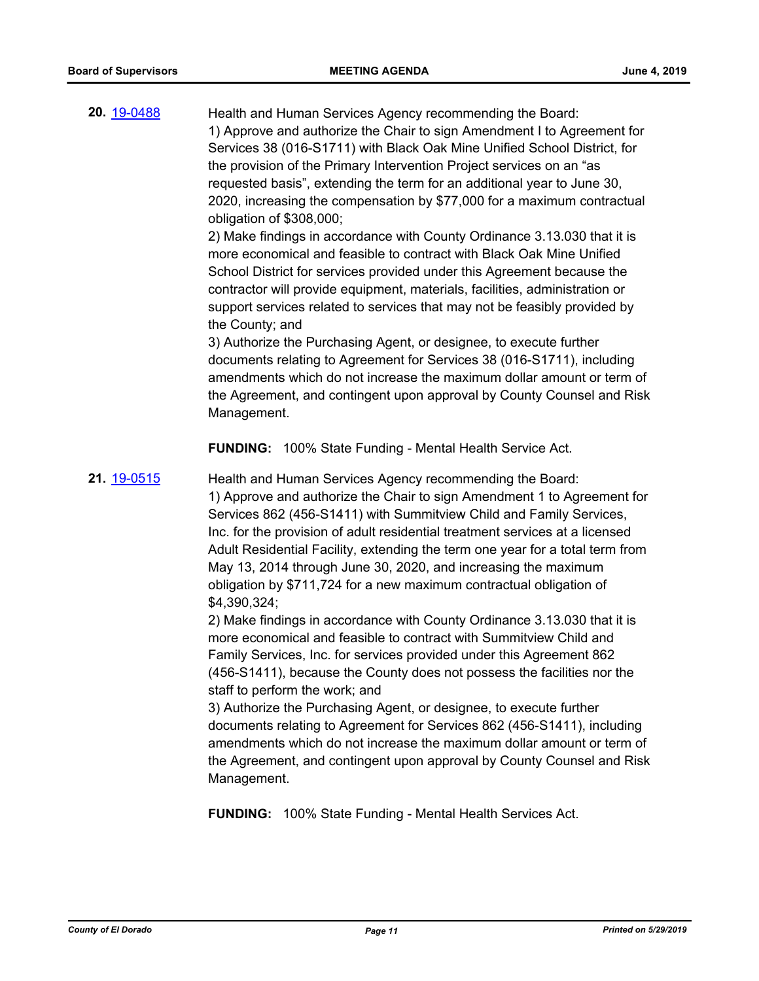| 20. 19-0488 | Health and Human Services Agency recommending the Board:<br>1) Approve and authorize the Chair to sign Amendment I to Agreement for<br>Services 38 (016-S1711) with Black Oak Mine Unified School District, for<br>the provision of the Primary Intervention Project services on an "as<br>requested basis", extending the term for an additional year to June 30,<br>2020, increasing the compensation by \$77,000 for a maximum contractual<br>obligation of \$308,000;<br>2) Make findings in accordance with County Ordinance 3.13.030 that it is<br>more economical and feasible to contract with Black Oak Mine Unified<br>School District for services provided under this Agreement because the<br>contractor will provide equipment, materials, facilities, administration or<br>support services related to services that may not be feasibly provided by<br>the County; and<br>3) Authorize the Purchasing Agent, or designee, to execute further<br>documents relating to Agreement for Services 38 (016-S1711), including<br>amendments which do not increase the maximum dollar amount or term of<br>the Agreement, and contingent upon approval by County Counsel and Risk<br>Management.                                                   |
|-------------|------------------------------------------------------------------------------------------------------------------------------------------------------------------------------------------------------------------------------------------------------------------------------------------------------------------------------------------------------------------------------------------------------------------------------------------------------------------------------------------------------------------------------------------------------------------------------------------------------------------------------------------------------------------------------------------------------------------------------------------------------------------------------------------------------------------------------------------------------------------------------------------------------------------------------------------------------------------------------------------------------------------------------------------------------------------------------------------------------------------------------------------------------------------------------------------------------------------------------------------------------------|
| 21. 19-0515 | FUNDING: 100% State Funding - Mental Health Service Act.<br>Health and Human Services Agency recommending the Board:<br>1) Approve and authorize the Chair to sign Amendment 1 to Agreement for<br>Services 862 (456-S1411) with Summitview Child and Family Services,<br>Inc. for the provision of adult residential treatment services at a licensed<br>Adult Residential Facility, extending the term one year for a total term from<br>May 13, 2014 through June 30, 2020, and increasing the maximum<br>obligation by \$711,724 for a new maximum contractual obligation of<br>\$4,390,324;<br>2) Make findings in accordance with County Ordinance 3.13.030 that it is<br>more economical and feasible to contract with Summitview Child and<br>Family Services, Inc. for services provided under this Agreement 862<br>(456-S1411), because the County does not possess the facilities nor the<br>staff to perform the work; and<br>3) Authorize the Purchasing Agent, or designee, to execute further<br>documents relating to Agreement for Services 862 (456-S1411), including<br>amendments which do not increase the maximum dollar amount or term of<br>the Agreement, and contingent upon approval by County Counsel and Risk<br>Management. |

**FUNDING:** 100% State Funding - Mental Health Services Act.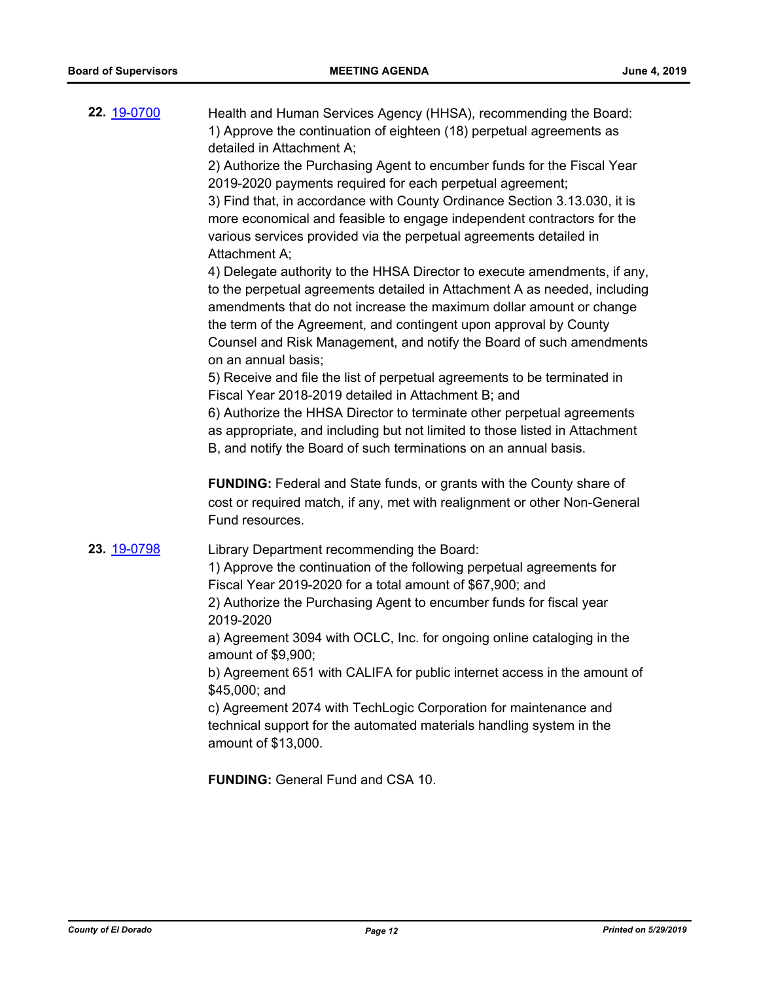| 22. 19-0700 | Health and Human Services Agency (HHSA), recommending the Board:<br>1) Approve the continuation of eighteen (18) perpetual agreements as<br>detailed in Attachment A;<br>2) Authorize the Purchasing Agent to encumber funds for the Fiscal Year<br>2019-2020 payments required for each perpetual agreement;<br>3) Find that, in accordance with County Ordinance Section 3.13.030, it is<br>more economical and feasible to engage independent contractors for the<br>various services provided via the perpetual agreements detailed in<br>Attachment A:<br>4) Delegate authority to the HHSA Director to execute amendments, if any,<br>to the perpetual agreements detailed in Attachment A as needed, including<br>amendments that do not increase the maximum dollar amount or change<br>the term of the Agreement, and contingent upon approval by County |
|-------------|-------------------------------------------------------------------------------------------------------------------------------------------------------------------------------------------------------------------------------------------------------------------------------------------------------------------------------------------------------------------------------------------------------------------------------------------------------------------------------------------------------------------------------------------------------------------------------------------------------------------------------------------------------------------------------------------------------------------------------------------------------------------------------------------------------------------------------------------------------------------|
|             | Counsel and Risk Management, and notify the Board of such amendments<br>on an annual basis;<br>5) Receive and file the list of perpetual agreements to be terminated in<br>Fiscal Year 2018-2019 detailed in Attachment B; and<br>6) Authorize the HHSA Director to terminate other perpetual agreements<br>as appropriate, and including but not limited to those listed in Attachment<br>B, and notify the Board of such terminations on an annual basis.<br><b>FUNDING:</b> Federal and State funds, or grants with the County share of<br>cost or required match, if any, met with realignment or other Non-General<br>Fund resources.                                                                                                                                                                                                                        |
| 23. 19-0798 | Library Department recommending the Board:<br>1) Approve the continuation of the following perpetual agreements for<br>Fiscal Year 2019-2020 for a total amount of \$67,900; and<br>2) Authorize the Purchasing Agent to encumber funds for fiscal year<br>2019-2020<br>a) Agreement 3094 with OCLC, Inc. for ongoing online cataloging in the<br>amount of \$9,900;<br>b) Agreement 651 with CALIFA for public internet access in the amount of<br>\$45,000; and<br>c) Agreement 2074 with TechLogic Corporation for maintenance and<br>technical support for the automated materials handling system in the<br>amount of \$13,000.<br><b>FUNDING: General Fund and CSA 10.</b>                                                                                                                                                                                  |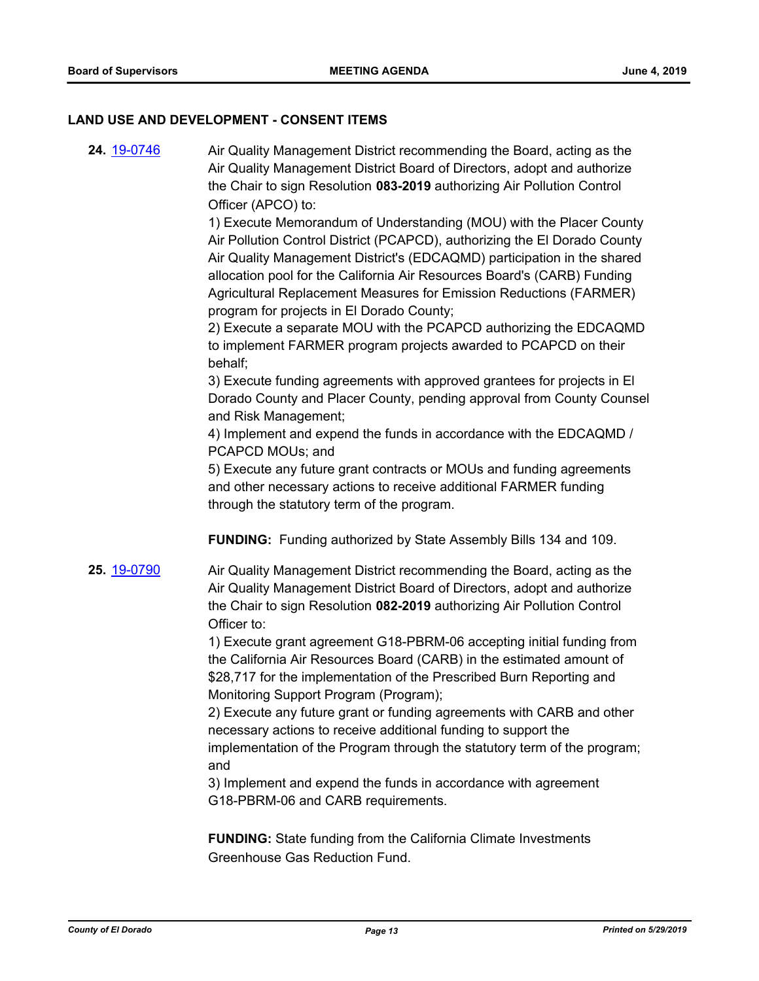#### **LAND USE AND DEVELOPMENT - CONSENT ITEMS**

**24.** [19-0746](http://eldorado.legistar.com/gateway.aspx?m=l&id=/matter.aspx?key=26068) Air Quality Management District recommending the Board, acting as the Air Quality Management District Board of Directors, adopt and authorize the Chair to sign Resolution **083-2019** authorizing Air Pollution Control Officer (APCO) to:

> 1) Execute Memorandum of Understanding (MOU) with the Placer County Air Pollution Control District (PCAPCD), authorizing the El Dorado County Air Quality Management District's (EDCAQMD) participation in the shared allocation pool for the California Air Resources Board's (CARB) Funding Agricultural Replacement Measures for Emission Reductions (FARMER) program for projects in El Dorado County;

> 2) Execute a separate MOU with the PCAPCD authorizing the EDCAQMD to implement FARMER program projects awarded to PCAPCD on their behalf;

3) Execute funding agreements with approved grantees for projects in El Dorado County and Placer County, pending approval from County Counsel and Risk Management;

4) Implement and expend the funds in accordance with the EDCAQMD / PCAPCD MOUs; and

5) Execute any future grant contracts or MOUs and funding agreements and other necessary actions to receive additional FARMER funding through the statutory term of the program.

**FUNDING:** Funding authorized by State Assembly Bills 134 and 109.

**25.** [19-0790](http://eldorado.legistar.com/gateway.aspx?m=l&id=/matter.aspx?key=26113) Air Quality Management District recommending the Board, acting as the Air Quality Management District Board of Directors, adopt and authorize the Chair to sign Resolution **082-2019** authorizing Air Pollution Control Officer to:

> 1) Execute grant agreement G18-PBRM-06 accepting initial funding from the California Air Resources Board (CARB) in the estimated amount of \$28,717 for the implementation of the Prescribed Burn Reporting and Monitoring Support Program (Program);

> 2) Execute any future grant or funding agreements with CARB and other necessary actions to receive additional funding to support the implementation of the Program through the statutory term of the program; and

3) Implement and expend the funds in accordance with agreement G18-PBRM-06 and CARB requirements.

**FUNDING:** State funding from the California Climate Investments Greenhouse Gas Reduction Fund.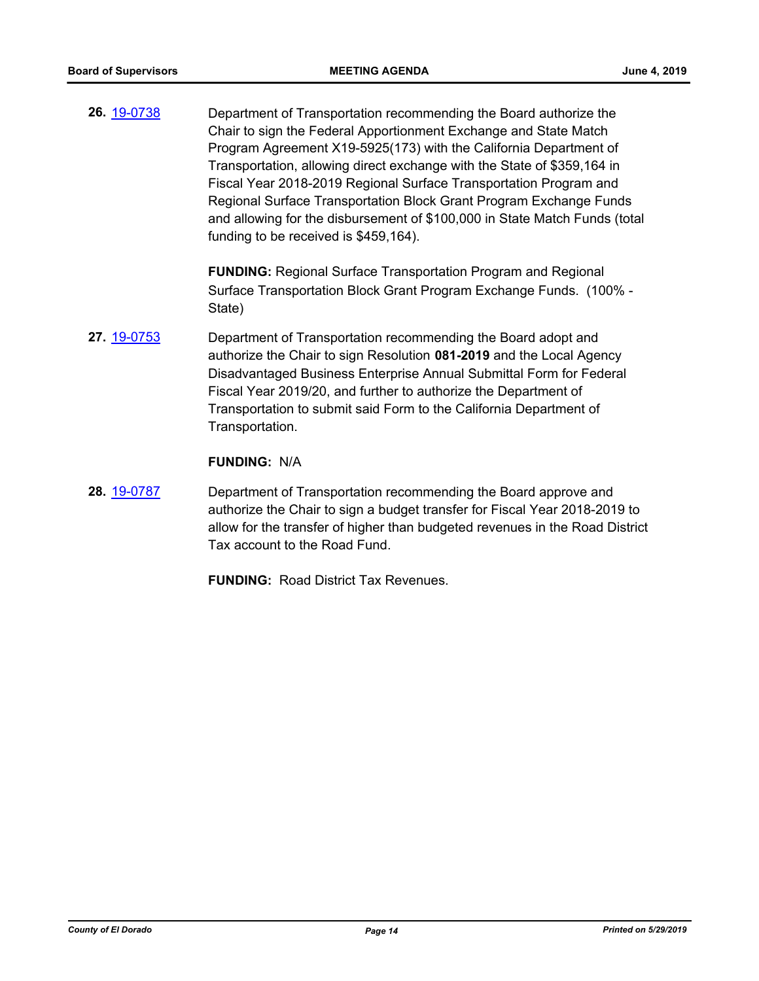**26.** [19-0738](http://eldorado.legistar.com/gateway.aspx?m=l&id=/matter.aspx?key=26060) Department of Transportation recommending the Board authorize the Chair to sign the Federal Apportionment Exchange and State Match Program Agreement X19-5925(173) with the California Department of Transportation, allowing direct exchange with the State of \$359,164 in Fiscal Year 2018-2019 Regional Surface Transportation Program and Regional Surface Transportation Block Grant Program Exchange Funds and allowing for the disbursement of \$100,000 in State Match Funds (total funding to be received is \$459,164).

> **FUNDING:** Regional Surface Transportation Program and Regional Surface Transportation Block Grant Program Exchange Funds. (100% - State)

**27.** [19-0753](http://eldorado.legistar.com/gateway.aspx?m=l&id=/matter.aspx?key=26075) Department of Transportation recommending the Board adopt and authorize the Chair to sign Resolution **081-2019** and the Local Agency Disadvantaged Business Enterprise Annual Submittal Form for Federal Fiscal Year 2019/20, and further to authorize the Department of Transportation to submit said Form to the California Department of Transportation.

#### **FUNDING:** N/A

**28.** [19-0787](http://eldorado.legistar.com/gateway.aspx?m=l&id=/matter.aspx?key=26110) Department of Transportation recommending the Board approve and authorize the Chair to sign a budget transfer for Fiscal Year 2018-2019 to allow for the transfer of higher than budgeted revenues in the Road District Tax account to the Road Fund.

**FUNDING:** Road District Tax Revenues.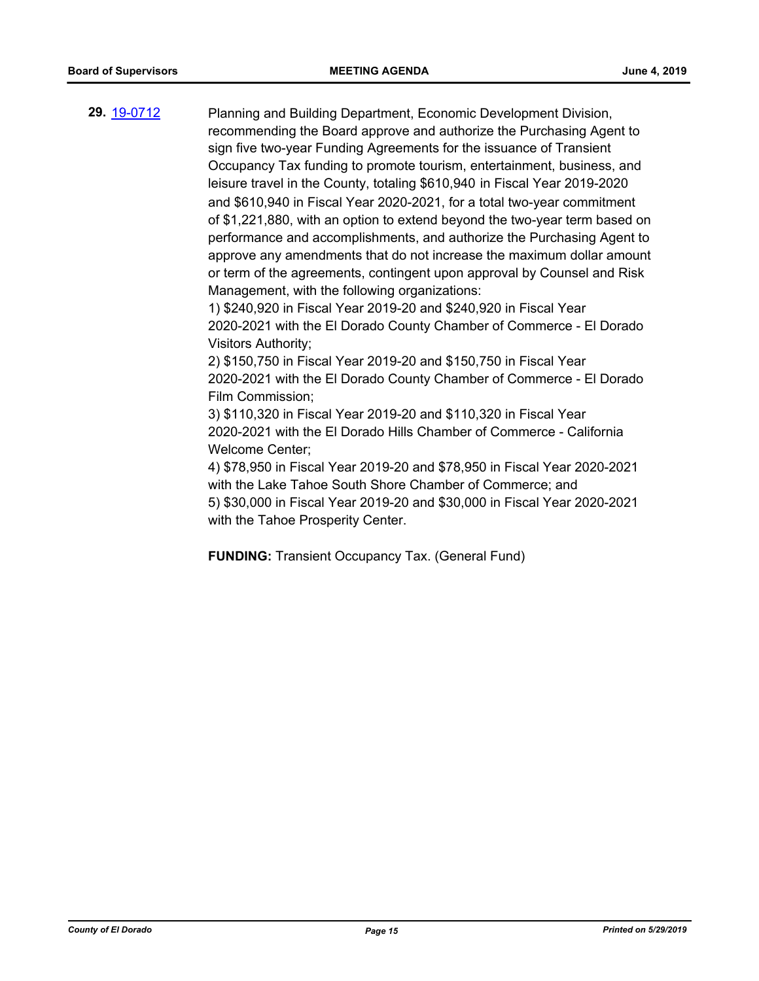**29.** [19-0712](http://eldorado.legistar.com/gateway.aspx?m=l&id=/matter.aspx?key=26034) Planning and Building Department, Economic Development Division, recommending the Board approve and authorize the Purchasing Agent to sign five two-year Funding Agreements for the issuance of Transient Occupancy Tax funding to promote tourism, entertainment, business, and leisure travel in the County, totaling \$610,940 in Fiscal Year 2019-2020 and \$610,940 in Fiscal Year 2020-2021, for a total two-year commitment of \$1,221,880, with an option to extend beyond the two-year term based on performance and accomplishments, and authorize the Purchasing Agent to approve any amendments that do not increase the maximum dollar amount or term of the agreements, contingent upon approval by Counsel and Risk Management, with the following organizations:

> 1) \$240,920 in Fiscal Year 2019-20 and \$240,920 in Fiscal Year 2020-2021 with the El Dorado County Chamber of Commerce - El Dorado Visitors Authority;

> 2) \$150,750 in Fiscal Year 2019-20 and \$150,750 in Fiscal Year 2020-2021 with the El Dorado County Chamber of Commerce - El Dorado Film Commission;

3) \$110,320 in Fiscal Year 2019-20 and \$110,320 in Fiscal Year 2020-2021 with the El Dorado Hills Chamber of Commerce - California Welcome Center;

4) \$78,950 in Fiscal Year 2019-20 and \$78,950 in Fiscal Year 2020-2021 with the Lake Tahoe South Shore Chamber of Commerce; and 5) \$30,000 in Fiscal Year 2019-20 and \$30,000 in Fiscal Year 2020-2021

with the Tahoe Prosperity Center.

**FUNDING:** Transient Occupancy Tax. (General Fund)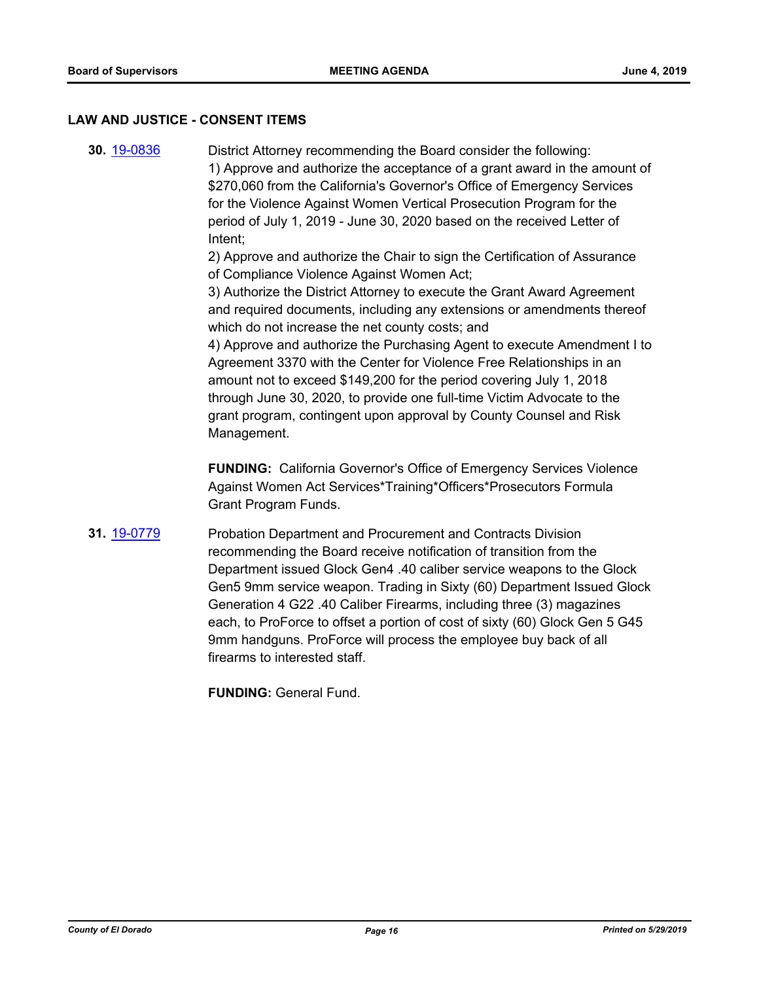#### **LAW AND JUSTICE - CONSENT ITEMS**

**30.** [19-0836](http://eldorado.legistar.com/gateway.aspx?m=l&id=/matter.aspx?key=26159) District Attorney recommending the Board consider the following: 1) Approve and authorize the acceptance of a grant award in the amount of \$270,060 from the California's Governor's Office of Emergency Services for the Violence Against Women Vertical Prosecution Program for the period of July 1, 2019 - June 30, 2020 based on the received Letter of Intent;

2) Approve and authorize the Chair to sign the Certification of Assurance of Compliance Violence Against Women Act;

3) Authorize the District Attorney to execute the Grant Award Agreement and required documents, including any extensions or amendments thereof which do not increase the net county costs; and

4) Approve and authorize the Purchasing Agent to execute Amendment I to Agreement 3370 with the Center for Violence Free Relationships in an amount not to exceed \$149,200 for the period covering July 1, 2018 through June 30, 2020, to provide one full-time Victim Advocate to the grant program, contingent upon approval by County Counsel and Risk Management.

**FUNDING:** California Governor's Office of Emergency Services Violence Against Women Act Services\*Training\*Officers\*Prosecutors Formula Grant Program Funds.

**31.** [19-0779](http://eldorado.legistar.com/gateway.aspx?m=l&id=/matter.aspx?key=26101) Probation Department and Procurement and Contracts Division recommending the Board receive notification of transition from the Department issued Glock Gen4 .40 caliber service weapons to the Glock Gen5 9mm service weapon. Trading in Sixty (60) Department Issued Glock Generation 4 G22 .40 Caliber Firearms, including three (3) magazines each, to ProForce to offset a portion of cost of sixty (60) Glock Gen 5 G45 9mm handguns. ProForce will process the employee buy back of all firearms to interested staff.

**FUNDING:** General Fund.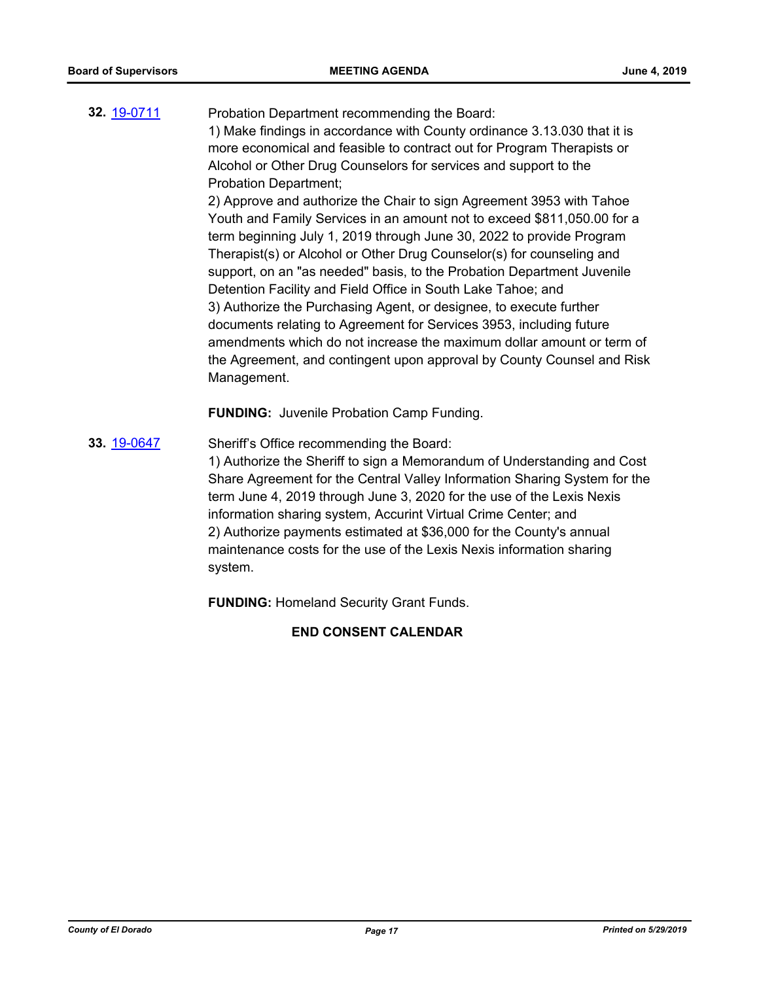**32.** [19-0711](http://eldorado.legistar.com/gateway.aspx?m=l&id=/matter.aspx?key=26033) Probation Department recommending the Board: 1) Make findings in accordance with County ordinance 3.13.030 that it is more economical and feasible to contract out for Program Therapists or Alcohol or Other Drug Counselors for services and support to the Probation Department;

2) Approve and authorize the Chair to sign Agreement 3953 with Tahoe Youth and Family Services in an amount not to exceed \$811,050.00 for a term beginning July 1, 2019 through June 30, 2022 to provide Program Therapist(s) or Alcohol or Other Drug Counselor(s) for counseling and support, on an "as needed" basis, to the Probation Department Juvenile Detention Facility and Field Office in South Lake Tahoe; and 3) Authorize the Purchasing Agent, or designee, to execute further documents relating to Agreement for Services 3953, including future amendments which do not increase the maximum dollar amount or term of the Agreement, and contingent upon approval by County Counsel and Risk Management.

**FUNDING:** Juvenile Probation Camp Funding.

**33.** [19-0647](http://eldorado.legistar.com/gateway.aspx?m=l&id=/matter.aspx?key=25969) Sheriff's Office recommending the Board: 1) Authorize the Sheriff to sign a Memorandum of Understanding and Cost Share Agreement for the Central Valley Information Sharing System for the term June 4, 2019 through June 3, 2020 for the use of the Lexis Nexis information sharing system, Accurint Virtual Crime Center; and 2) Authorize payments estimated at \$36,000 for the County's annual maintenance costs for the use of the Lexis Nexis information sharing system.

**FUNDING:** Homeland Security Grant Funds.

**END CONSENT CALENDAR**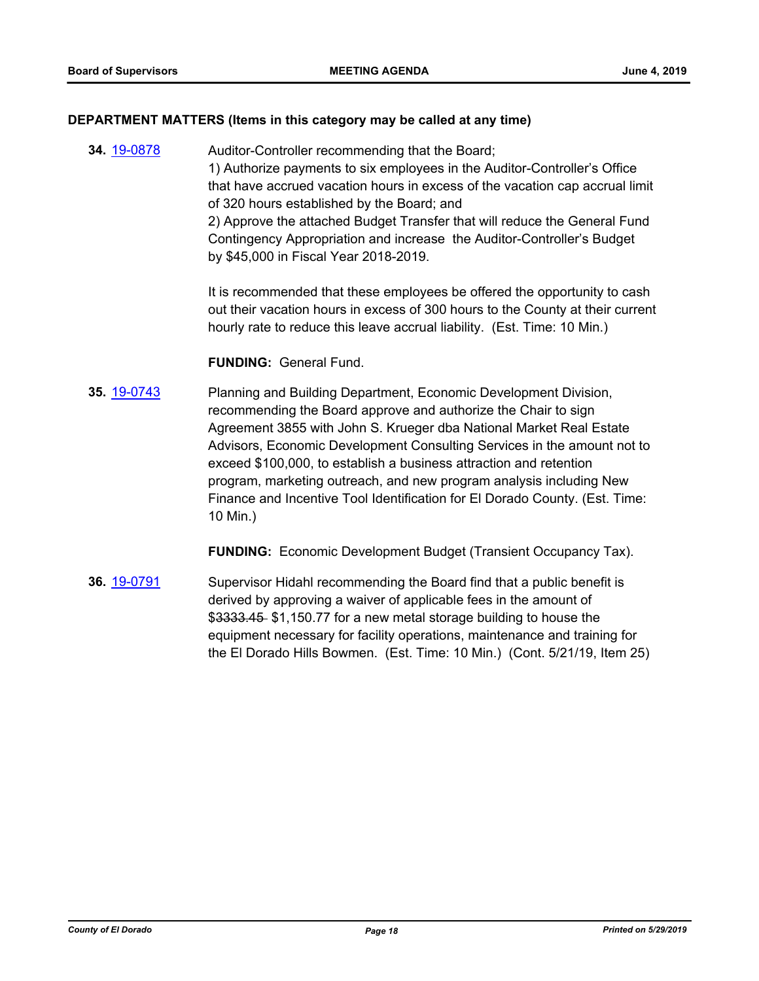#### **DEPARTMENT MATTERS (Items in this category may be called at any time)**

**34.** [19-0878](http://eldorado.legistar.com/gateway.aspx?m=l&id=/matter.aspx?key=26201) Auditor-Controller recommending that the Board; 1) Authorize payments to six employees in the Auditor-Controller's Office that have accrued vacation hours in excess of the vacation cap accrual limit of 320 hours established by the Board; and 2) Approve the attached Budget Transfer that will reduce the General Fund Contingency Appropriation and increase the Auditor-Controller's Budget by \$45,000 in Fiscal Year 2018-2019.

> It is recommended that these employees be offered the opportunity to cash out their vacation hours in excess of 300 hours to the County at their current hourly rate to reduce this leave accrual liability. (Est. Time: 10 Min.)

**FUNDING:** General Fund.

**35.** [19-0743](http://eldorado.legistar.com/gateway.aspx?m=l&id=/matter.aspx?key=26065) Planning and Building Department, Economic Development Division, recommending the Board approve and authorize the Chair to sign Agreement 3855 with John S. Krueger dba National Market Real Estate Advisors, Economic Development Consulting Services in the amount not to exceed \$100,000, to establish a business attraction and retention program, marketing outreach, and new program analysis including New Finance and Incentive Tool Identification for El Dorado County. (Est. Time: 10 Min.)

**FUNDING:** Economic Development Budget (Transient Occupancy Tax).

**36.** [19-0791](http://eldorado.legistar.com/gateway.aspx?m=l&id=/matter.aspx?key=26114) Supervisor Hidahl recommending the Board find that a public benefit is derived by approving a waiver of applicable fees in the amount of \$3333.45 \$1,150.77 for a new metal storage building to house the equipment necessary for facility operations, maintenance and training for the El Dorado Hills Bowmen. (Est. Time: 10 Min.) (Cont. 5/21/19, Item 25)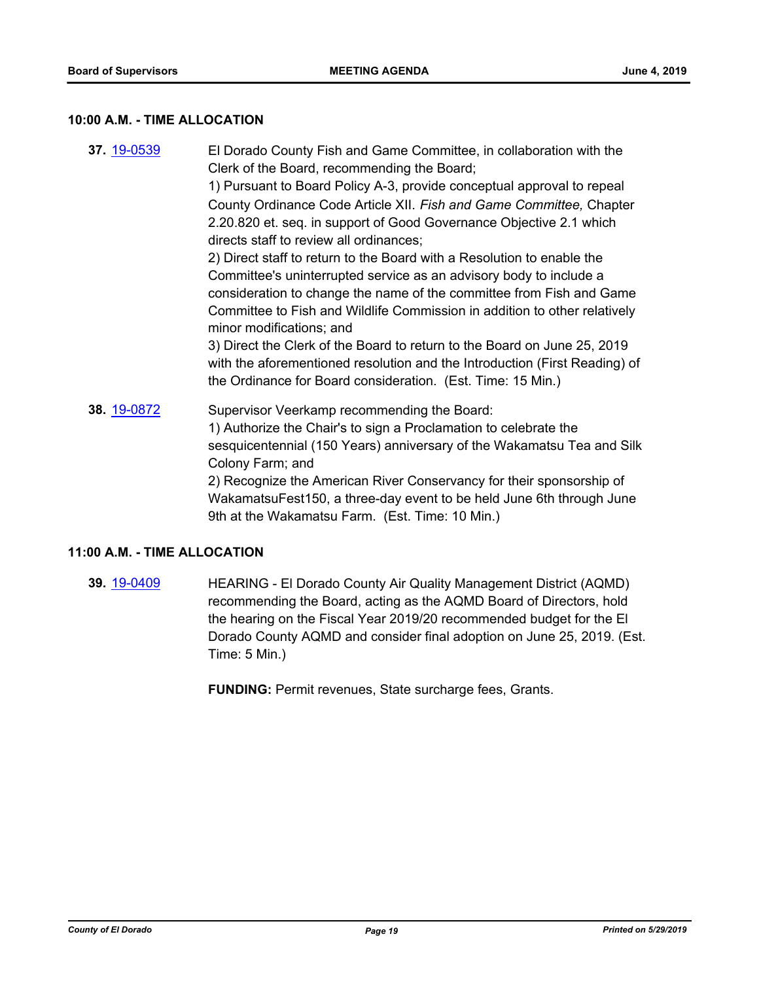#### **10:00 A.M. - TIME ALLOCATION**

**37.** [19-0539](http://eldorado.legistar.com/gateway.aspx?m=l&id=/matter.aspx?key=25860) El Dorado County Fish and Game Committee, in collaboration with the Clerk of the Board, recommending the Board; 1) Pursuant to Board Policy A-3, provide conceptual approval to repeal County Ordinance Code Article XII. *Fish and Game Committee,* Chapter 2.20.820 et. seq. in support of Good Governance Objective 2.1 which directs staff to review all ordinances; 2) Direct staff to return to the Board with a Resolution to enable the Committee's uninterrupted service as an advisory body to include a consideration to change the name of the committee from Fish and Game Committee to Fish and Wildlife Commission in addition to other relatively minor modifications; and 3) Direct the Clerk of the Board to return to the Board on June 25, 2019 with the aforementioned resolution and the Introduction (First Reading) of the Ordinance for Board consideration. (Est. Time: 15 Min.) **38.** [19-0872](http://eldorado.legistar.com/gateway.aspx?m=l&id=/matter.aspx?key=26195) Supervisor Veerkamp recommending the Board: 1) Authorize the Chair's to sign a Proclamation to celebrate the sesquicentennial (150 Years) anniversary of the Wakamatsu Tea and Silk Colony Farm; and 2) Recognize the American River Conservancy for their sponsorship of

## WakamatsuFest150, a three-day event to be held June 6th through June 9th at the Wakamatsu Farm. (Est. Time: 10 Min.)

#### **11:00 A.M. - TIME ALLOCATION**

**39.** [19-0409](http://eldorado.legistar.com/gateway.aspx?m=l&id=/matter.aspx?key=25730) HEARING - El Dorado County Air Quality Management District (AQMD) recommending the Board, acting as the AQMD Board of Directors, hold the hearing on the Fiscal Year 2019/20 recommended budget for the El Dorado County AQMD and consider final adoption on June 25, 2019. (Est. Time: 5 Min.)

**FUNDING:** Permit revenues, State surcharge fees, Grants.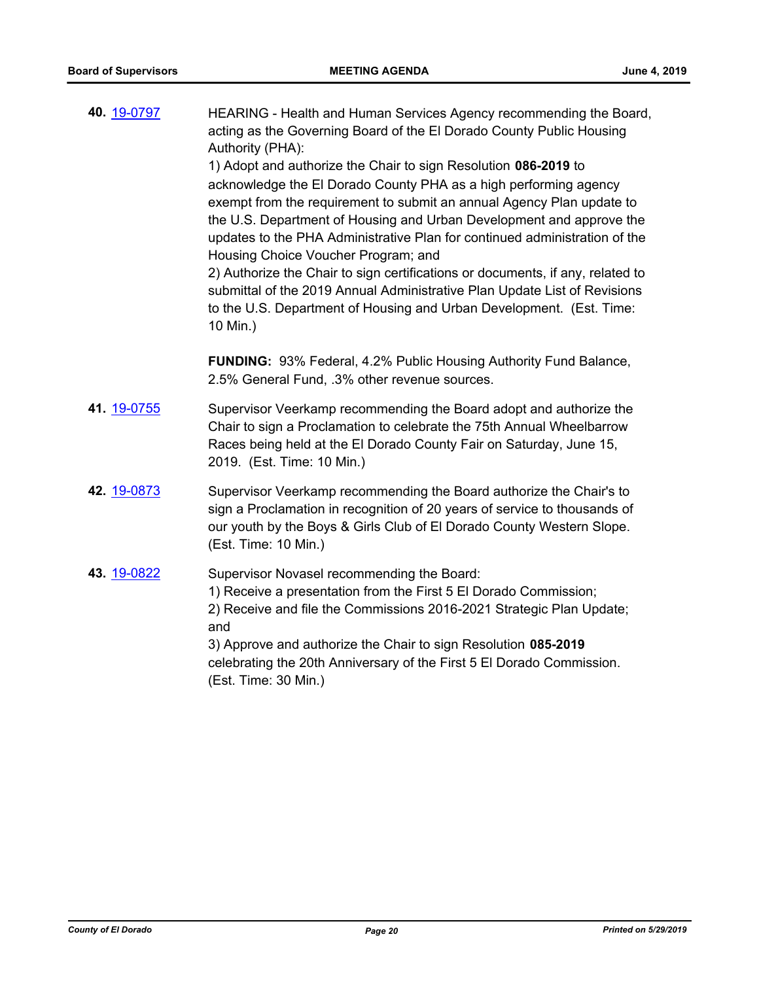| 40. 19-0797 | HEARING - Health and Human Services Agency recommending the Board,<br>acting as the Governing Board of the El Dorado County Public Housing<br>Authority (PHA):<br>1) Adopt and authorize the Chair to sign Resolution 086-2019 to<br>acknowledge the El Dorado County PHA as a high performing agency<br>exempt from the requirement to submit an annual Agency Plan update to<br>the U.S. Department of Housing and Urban Development and approve the<br>updates to the PHA Administrative Plan for continued administration of the<br>Housing Choice Voucher Program; and<br>2) Authorize the Chair to sign certifications or documents, if any, related to<br>submittal of the 2019 Annual Administrative Plan Update List of Revisions<br>to the U.S. Department of Housing and Urban Development. (Est. Time:<br>10 Min.) |
|-------------|--------------------------------------------------------------------------------------------------------------------------------------------------------------------------------------------------------------------------------------------------------------------------------------------------------------------------------------------------------------------------------------------------------------------------------------------------------------------------------------------------------------------------------------------------------------------------------------------------------------------------------------------------------------------------------------------------------------------------------------------------------------------------------------------------------------------------------|
|             | <b>FUNDING: 93% Federal, 4.2% Public Housing Authority Fund Balance,</b><br>2.5% General Fund, .3% other revenue sources.                                                                                                                                                                                                                                                                                                                                                                                                                                                                                                                                                                                                                                                                                                      |
| 41. 19-0755 | Supervisor Veerkamp recommending the Board adopt and authorize the<br>Chair to sign a Proclamation to celebrate the 75th Annual Wheelbarrow<br>Races being held at the El Dorado County Fair on Saturday, June 15,<br>2019. (Est. Time: 10 Min.)                                                                                                                                                                                                                                                                                                                                                                                                                                                                                                                                                                               |
| 42. 19-0873 | Supervisor Veerkamp recommending the Board authorize the Chair's to<br>sign a Proclamation in recognition of 20 years of service to thousands of<br>our youth by the Boys & Girls Club of El Dorado County Western Slope.<br>(Est. Time: 10 Min.)                                                                                                                                                                                                                                                                                                                                                                                                                                                                                                                                                                              |
| 43. 19-0822 | Supervisor Novasel recommending the Board:<br>1) Receive a presentation from the First 5 El Dorado Commission;<br>2) Receive and file the Commissions 2016-2021 Strategic Plan Update;<br>and<br>3) Approve and authorize the Chair to sign Resolution 085-2019<br>celebrating the 20th Anniversary of the First 5 El Dorado Commission.<br>(Est. Time: 30 Min.)                                                                                                                                                                                                                                                                                                                                                                                                                                                               |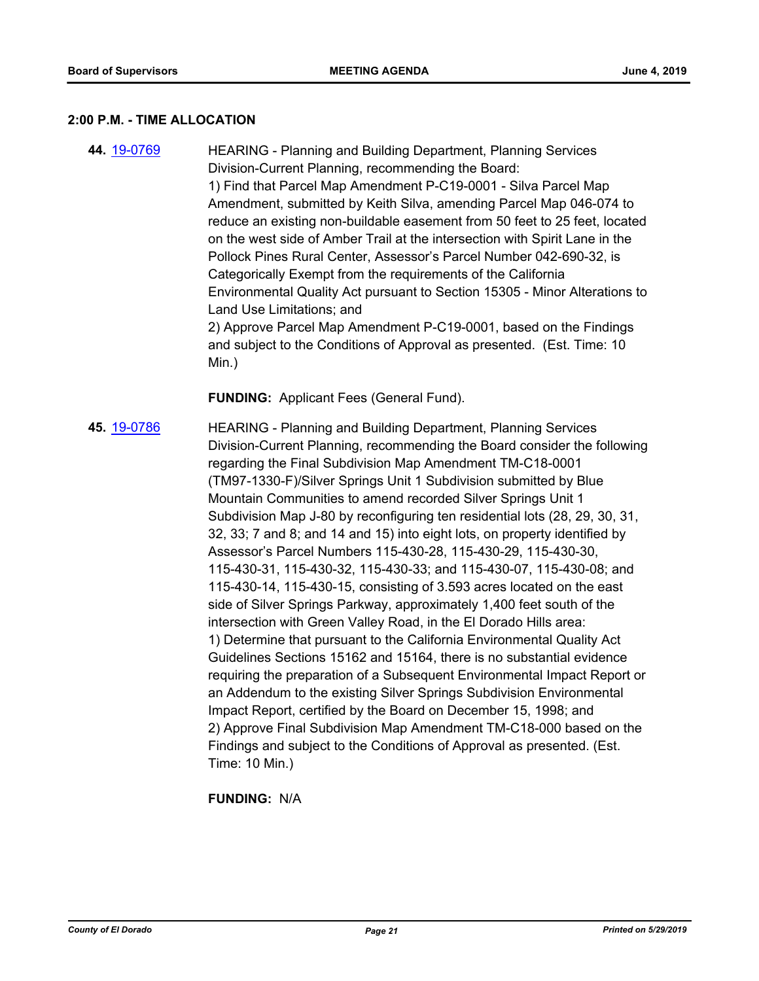#### **2:00 P.M. - TIME ALLOCATION**

**44.** [19-0769](http://eldorado.legistar.com/gateway.aspx?m=l&id=/matter.aspx?key=26091) HEARING - Planning and Building Department, Planning Services Division-Current Planning, recommending the Board: 1) Find that Parcel Map Amendment P-C19-0001 - Silva Parcel Map Amendment, submitted by Keith Silva, amending Parcel Map 046-074 to reduce an existing non-buildable easement from 50 feet to 25 feet, located on the west side of Amber Trail at the intersection with Spirit Lane in the Pollock Pines Rural Center, Assessor's Parcel Number 042-690-32, is Categorically Exempt from the requirements of the California Environmental Quality Act pursuant to Section 15305 - Minor Alterations to Land Use Limitations; and 2) Approve Parcel Map Amendment P-C19-0001, based on the Findings and subject to the Conditions of Approval as presented. (Est. Time: 10 Min.)

**FUNDING:** Applicant Fees (General Fund).

**45.** [19-0786](http://eldorado.legistar.com/gateway.aspx?m=l&id=/matter.aspx?key=26109) HEARING - Planning and Building Department, Planning Services Division-Current Planning, recommending the Board consider the following regarding the Final Subdivision Map Amendment TM-C18-0001 (TM97-1330-F)/Silver Springs Unit 1 Subdivision submitted by Blue Mountain Communities to amend recorded Silver Springs Unit 1 Subdivision Map J-80 by reconfiguring ten residential lots (28, 29, 30, 31, 32, 33; 7 and 8; and 14 and 15) into eight lots, on property identified by Assessor's Parcel Numbers 115-430-28, 115-430-29, 115-430-30, 115-430-31, 115-430-32, 115-430-33; and 115-430-07, 115-430-08; and 115-430-14, 115-430-15, consisting of 3.593 acres located on the east side of Silver Springs Parkway, approximately 1,400 feet south of the intersection with Green Valley Road, in the El Dorado Hills area: 1) Determine that pursuant to the California Environmental Quality Act Guidelines Sections 15162 and 15164, there is no substantial evidence requiring the preparation of a Subsequent Environmental Impact Report or an Addendum to the existing Silver Springs Subdivision Environmental Impact Report, certified by the Board on December 15, 1998; and 2) Approve Final Subdivision Map Amendment TM-C18-000 based on the Findings and subject to the Conditions of Approval as presented. (Est. Time: 10 Min.)

**FUNDING:** N/A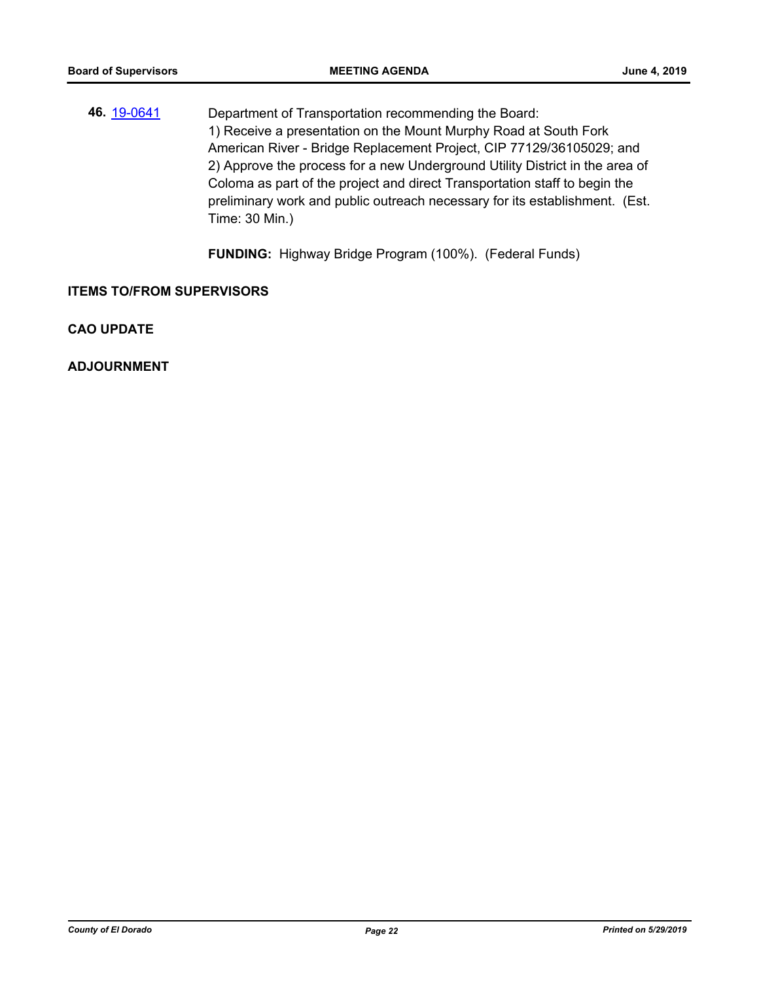**46.** [19-0641](http://eldorado.legistar.com/gateway.aspx?m=l&id=/matter.aspx?key=25963) Department of Transportation recommending the Board: 1) Receive a presentation on the Mount Murphy Road at South Fork American River - Bridge Replacement Project, CIP 77129/36105029; and 2) Approve the process for a new Underground Utility District in the area of Coloma as part of the project and direct Transportation staff to begin the preliminary work and public outreach necessary for its establishment. (Est. Time: 30 Min.)

**FUNDING:** Highway Bridge Program (100%). (Federal Funds)

**ITEMS TO/FROM SUPERVISORS**

**CAO UPDATE**

**ADJOURNMENT**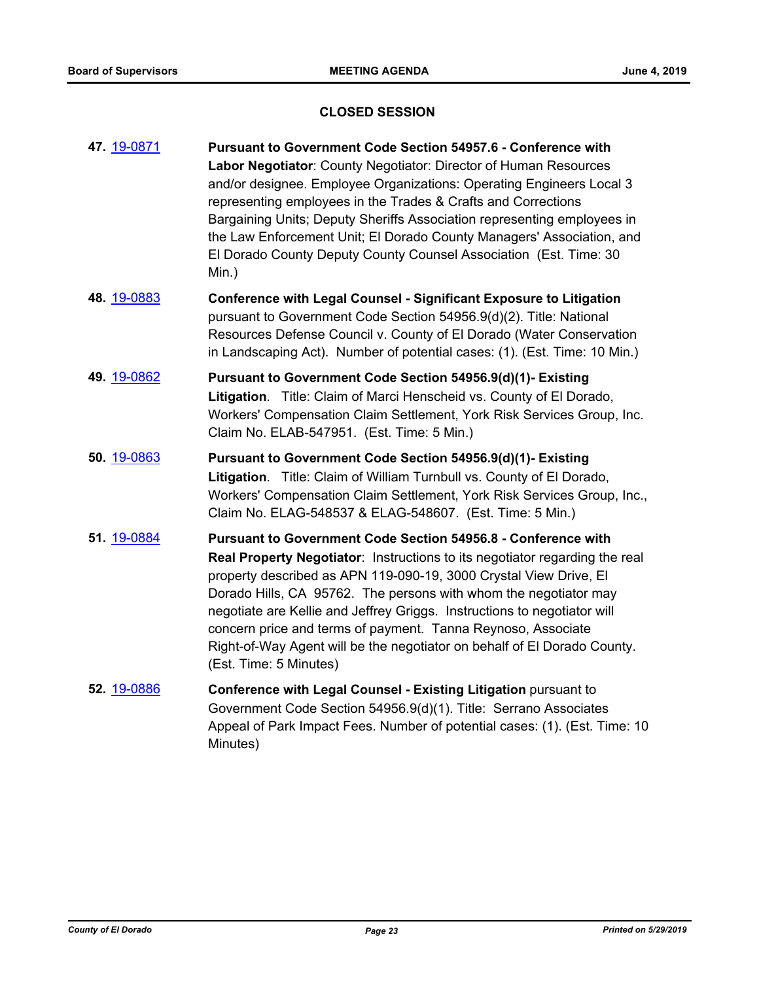#### **CLOSED SESSION**

- **47.** [19-0871](http://eldorado.legistar.com/gateway.aspx?m=l&id=/matter.aspx?key=26194) **Pursuant to Government Code Section 54957.6 Conference with Labor Negotiator**: County Negotiator: Director of Human Resources and/or designee. Employee Organizations: Operating Engineers Local 3 representing employees in the Trades & Crafts and Corrections Bargaining Units; Deputy Sheriffs Association representing employees in the Law Enforcement Unit; El Dorado County Managers' Association, and El Dorado County Deputy County Counsel Association (Est. Time: 30 Min.)
- **48.** [19-0883](http://eldorado.legistar.com/gateway.aspx?m=l&id=/matter.aspx?key=26206) **Conference with Legal Counsel Significant Exposure to Litigation** pursuant to Government Code Section 54956.9(d)(2). Title: National Resources Defense Council v. County of El Dorado (Water Conservation in Landscaping Act). Number of potential cases: (1). (Est. Time: 10 Min.)
- **49.** [19-0862](http://eldorado.legistar.com/gateway.aspx?m=l&id=/matter.aspx?key=26185) **Pursuant to Government Code Section 54956.9(d)(1)- Existing Litigation**. Title: Claim of Marci Henscheid vs. County of El Dorado, Workers' Compensation Claim Settlement, York Risk Services Group, Inc. Claim No. ELAB-547951. (Est. Time: 5 Min.)
- **50.** [19-0863](http://eldorado.legistar.com/gateway.aspx?m=l&id=/matter.aspx?key=26186) **Pursuant to Government Code Section 54956.9(d)(1)- Existing Litigation**. Title: Claim of William Turnbull vs. County of El Dorado, Workers' Compensation Claim Settlement, York Risk Services Group, Inc., Claim No. ELAG-548537 & ELAG-548607. (Est. Time: 5 Min.)
- **51.** [19-0884](http://eldorado.legistar.com/gateway.aspx?m=l&id=/matter.aspx?key=26207) **Pursuant to Government Code Section 54956.8 Conference with Real Property Negotiator**: Instructions to its negotiator regarding the real property described as APN 119-090-19, 3000 Crystal View Drive, El Dorado Hills, CA 95762. The persons with whom the negotiator may negotiate are Kellie and Jeffrey Griggs. Instructions to negotiator will concern price and terms of payment. Tanna Reynoso, Associate Right-of-Way Agent will be the negotiator on behalf of El Dorado County. (Est. Time: 5 Minutes)
- **52.** [19-0886](http://eldorado.legistar.com/gateway.aspx?m=l&id=/matter.aspx?key=26209) **Conference with Legal Counsel - Existing Litigation** pursuant to Government Code Section 54956.9(d)(1). Title: Serrano Associates Appeal of Park Impact Fees. Number of potential cases: (1). (Est. Time: 10 Minutes)